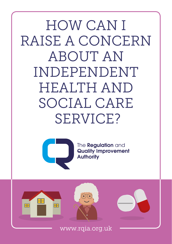HOW CAN I RAISE A CONCERN ABOUT AN INDEPENDENT HEALTH AND SOCIAL CARE SERVICE?



The **Regulation** and **Quality Improvement Authority** 

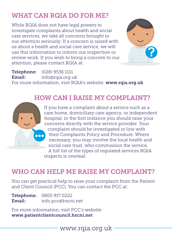# WHAT CAN ROIA DO FOR ME?

While RQIA does not have legal powers to investigate complaints about health and social care services, we take all concerns brought to our attention seriously. If a concern is raised with us about a health and social care service, we will use this information to inform our inspection or review work. If you wish to bring a concern to our attention, please contact RQIA at:



Telephone: (028) 9536 1111 Email: [info@rqia.org.uk](http://info@rqia.org.uk) For more information, visit RQIA's website: [www.rqia.org.uk](http://www.rqia.org.uk)

### HOW CAN I RAISE MY COMPLAINT?



If you have a complaint about a service such as a care home, domiciliary care agency, or independent hospital, in the first instance you should raise your concerns directly with the service provider. Your complaint should be investigated in line with their Complaints Policy and Procedure. Where necessary, you may involve the local health and social care trust, who commission the service. A full list of the types of regulated services RQIA inspects is overleaf.

### WHO CAN HELP ME RAISE MY COMPLAINT?

You can get practical help to raise your complaint from the Patient and Client Council (PCC). You can contact the PCC at:

Telephone: 0800 917 0222 Email: [info.pcc@hscni.net](http://info.pcc@hscni.net)

For more information, visit PCC's website: [www.patientclientcouncil.hscni.net](http://www.patientclientcouncil.hscni.net)

www.rqia.org.uk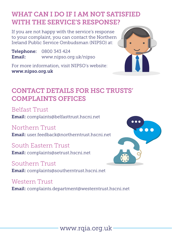## WHAT CAN I DO IF I AM NOT SATISFIED WITH THE SERVICE'S RESPONSE?

If you are not happy with the service's response to your complaint, you can contact the Northern Ireland Public Service Ombudsman (NIPSO) at:

Telephone: 0800 343 424 Email: [www.nipso.org.uk/nipso](http://www.nipso.org.uk/nipso)

For more information, visit NIPSO's website: [www.nipso.org.uk](http://www.nipso.org.uk)



### CONTACT DETAILS FOR HSC TRUSTS' COMPLAINTS OFFICES

Belfast Trust Email: [complaints](http://complaints.pcc@hscni.net)@belfasttrust.hscni.net

Northern Trust

Email: [user.feedback@northerntrust.hscni.net](http://user.feedback@northerntrust.hscni.net)

South Eastern Trust Email: [complaints@setrust.hscni.net](http://complaints@setrust.hscni.net)

Southern Trust Email: [complaints@southerntrust.hscni.net](http://complaints@southerntrust.hscni.net)

Western Trust Email: [complaints.department@westerntrust.hscni.net](http://complaints.department@westerntrust.hscni.net)